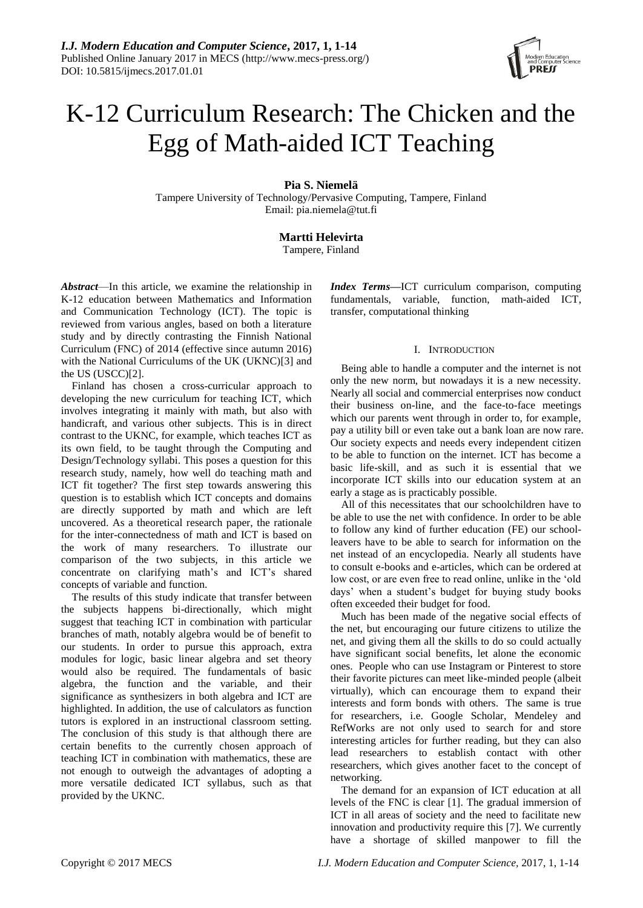# K-12 Curriculum Research: The Chicken and the Egg of Math-aided ICT Teaching

# **Pia S. Niemelä**

Tampere University of Technology/Pervasive Computing, Tampere, Finland Email: pia.niemela@tut.fi

# **Martti Helevirta**

Tampere, Finland

*Abstract*—In this article, we examine the relationship in K-12 education between Mathematics and Information and Communication Technology (ICT). The topic is reviewed from various angles, based on both a literature study and by directly contrasting the Finnish National Curriculum (FNC) of 2014 (effective since autumn 2016) with the National Curriculums of the UK (UKNC)[3] and the US (USCC)[2].

Finland has chosen a cross-curricular approach to developing the new curriculum for teaching ICT, which involves integrating it mainly with math, but also with handicraft, and various other subjects. This is in direct contrast to the UKNC, for example, which teaches ICT as its own field, to be taught through the Computing and Design/Technology syllabi. This poses a question for this research study, namely, how well do teaching math and ICT fit together? The first step towards answering this question is to establish which ICT concepts and domains are directly supported by math and which are left uncovered. As a theoretical research paper, the rationale for the inter-connectedness of math and ICT is based on the work of many researchers. To illustrate our comparison of the two subjects, in this article we concentrate on clarifying math's and ICT's shared concepts of variable and function.

The results of this study indicate that transfer between the subjects happens bi-directionally, which might suggest that teaching ICT in combination with particular branches of math, notably algebra would be of benefit to our students. In order to pursue this approach, extra modules for logic, basic linear algebra and set theory would also be required. The fundamentals of basic algebra, the function and the variable, and their significance as synthesizers in both algebra and ICT are highlighted. In addition, the use of calculators as function tutors is explored in an instructional classroom setting. The conclusion of this study is that although there are certain benefits to the currently chosen approach of teaching ICT in combination with mathematics, these are not enough to outweigh the advantages of adopting a more versatile dedicated ICT syllabus, such as that provided by the UKNC.

*Index Terms***—**ICT curriculum comparison, computing fundamentals, variable, function, math-aided ICT, transfer, computational thinking

## I. INTRODUCTION

Being able to handle a computer and the internet is not only the new norm, but nowadays it is a new necessity. Nearly all social and commercial enterprises now conduct their business on-line, and the face-to-face meetings which our parents went through in order to, for example, pay a utility bill or even take out a bank loan are now rare. Our society expects and needs every independent citizen to be able to function on the internet. ICT has become a basic life-skill, and as such it is essential that we incorporate ICT skills into our education system at an early a stage as is practicably possible.

All of this necessitates that our schoolchildren have to be able to use the net with confidence. In order to be able to follow any kind of further education (FE) our schoolleavers have to be able to search for information on the net instead of an encyclopedia. Nearly all students have to consult e-books and e-articles, which can be ordered at low cost, or are even free to read online, unlike in the 'old days' when a student's budget for buying study books often exceeded their budget for food.

Much has been made of the negative social effects of the net, but encouraging our future citizens to utilize the net, and giving them all the skills to do so could actually have significant social benefits, let alone the economic ones. People who can use Instagram or Pinterest to store their favorite pictures can meet like-minded people (albeit virtually), which can encourage them to expand their interests and form bonds with others. The same is true for researchers, i.e. Google Scholar, Mendeley and RefWorks are not only used to search for and store interesting articles for further reading, but they can also lead researchers to establish contact with other researchers, which gives another facet to the concept of networking.

The demand for an expansion of ICT education at all levels of the FNC is clear [1]. The gradual immersion of ICT in all areas of society and the need to facilitate new innovation and productivity require this [7]. We currently have a shortage of skilled manpower to fill the

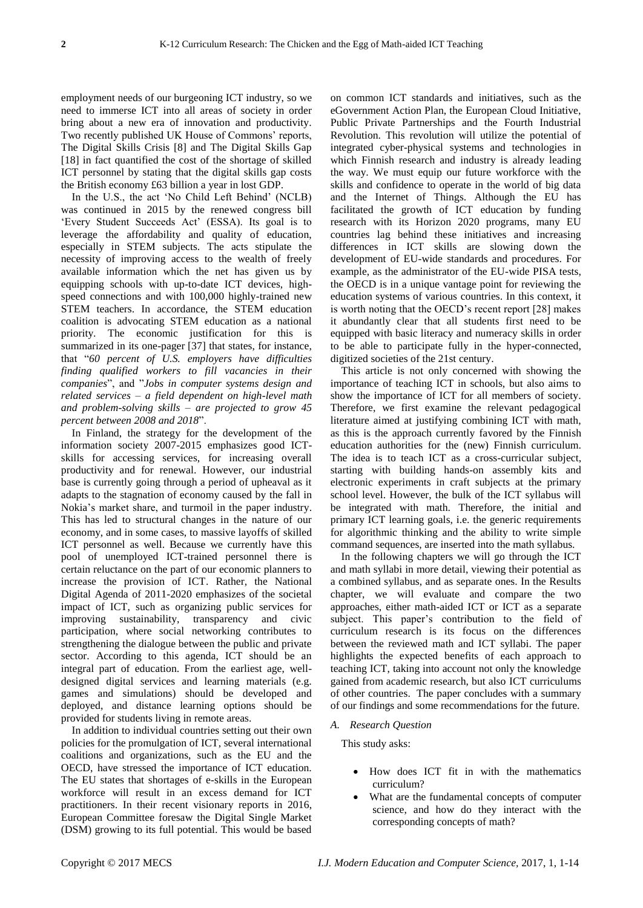employment needs of our burgeoning ICT industry, so we need to immerse ICT into all areas of society in order bring about a new era of innovation and productivity. Two recently published UK House of Commons' reports, The Digital Skills Crisis [8] and The Digital Skills Gap [18] in fact quantified the cost of the shortage of skilled ICT personnel by stating that the digital skills gap costs the British economy £63 billion a year in lost GDP.

In the U.S., the act 'No Child Left Behind' (NCLB) was continued in 2015 by the renewed congress bill 'Every Student Succeeds Act' (ESSA). Its goal is to leverage the affordability and quality of education, especially in STEM subjects. The acts stipulate the necessity of improving access to the wealth of freely available information which the net has given us by equipping schools with up-to-date ICT devices, highspeed connections and with 100,000 highly-trained new STEM teachers. In accordance, the STEM education coalition is advocating STEM education as a national priority. The economic justification for this is summarized in its one-pager [37] that states, for instance, that "*60 percent of U.S. employers have difficulties finding qualified workers to fill vacancies in their companies*", and "*Jobs in computer systems design and related services – a field dependent on high-level math and problem-solving skills – are projected to grow 45 percent between 2008 and 2018*".

In Finland, the strategy for the development of the information society 2007-2015 emphasizes good ICTskills for accessing services, for increasing overall productivity and for renewal. However, our industrial base is currently going through a period of upheaval as it adapts to the stagnation of economy caused by the fall in Nokia's market share, and turmoil in the paper industry. This has led to structural changes in the nature of our economy, and in some cases, to massive layoffs of skilled ICT personnel as well. Because we currently have this pool of unemployed ICT-trained personnel there is certain reluctance on the part of our economic planners to increase the provision of ICT. Rather, the National Digital Agenda of 2011-2020 emphasizes of the societal impact of ICT, such as organizing public services for improving sustainability, transparency and civic participation, where social networking contributes to strengthening the dialogue between the public and private sector. According to this agenda, ICT should be an integral part of education. From the earliest age, welldesigned digital services and learning materials (e.g. games and simulations) should be developed and deployed, and distance learning options should be provided for students living in remote areas.

In addition to individual countries setting out their own policies for the promulgation of ICT, several international coalitions and organizations, such as the EU and the OECD, have stressed the importance of ICT education. The EU states that shortages of e-skills in the European workforce will result in an excess demand for ICT practitioners. In their recent visionary reports in 2016, European Committee foresaw the Digital Single Market (DSM) growing to its full potential. This would be based

on common ICT standards and initiatives, such as the eGovernment Action Plan, the European Cloud Initiative, Public Private Partnerships and the Fourth Industrial Revolution. This revolution will utilize the potential of integrated cyber-physical systems and technologies in which Finnish research and industry is already leading the way. We must equip our future workforce with the skills and confidence to operate in the world of big data and the Internet of Things. Although the EU has facilitated the growth of ICT education by funding research with its Horizon 2020 programs, many EU countries lag behind these initiatives and increasing differences in ICT skills are slowing down the development of EU-wide standards and procedures. For example, as the administrator of the EU-wide PISA tests, the OECD is in a unique vantage point for reviewing the education systems of various countries. In this context, it is worth noting that the OECD's recent report [28] makes it abundantly clear that all students first need to be equipped with basic literacy and numeracy skills in order to be able to participate fully in the hyper-connected, digitized societies of the 21st century.

This article is not only concerned with showing the importance of teaching ICT in schools, but also aims to show the importance of ICT for all members of society. Therefore, we first examine the relevant pedagogical literature aimed at justifying combining ICT with math, as this is the approach currently favored by the Finnish education authorities for the (new) Finnish curriculum. The idea is to teach ICT as a cross-curricular subject, starting with building hands-on assembly kits and electronic experiments in craft subjects at the primary school level. However, the bulk of the ICT syllabus will be integrated with math. Therefore, the initial and primary ICT learning goals, i.e. the generic requirements for algorithmic thinking and the ability to write simple command sequences, are inserted into the math syllabus.

In the following chapters we will go through the ICT and math syllabi in more detail, viewing their potential as a combined syllabus, and as separate ones. In the Results chapter, we will evaluate and compare the two approaches, either math-aided ICT or ICT as a separate subject. This paper's contribution to the field of curriculum research is its focus on the differences between the reviewed math and ICT syllabi. The paper highlights the expected benefits of each approach to teaching ICT, taking into account not only the knowledge gained from academic research, but also ICT curriculums of other countries. The paper concludes with a summary of our findings and some recommendations for the future.

#### *A. Research Question*

This study asks:

- How does ICT fit in with the mathematics curriculum?
- What are the fundamental concepts of computer science, and how do they interact with the corresponding concepts of math?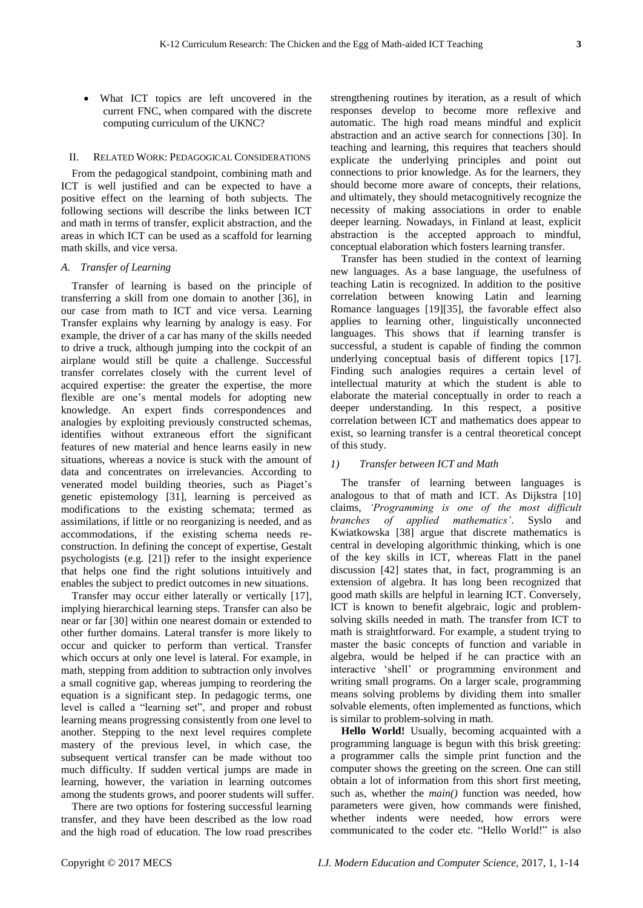What ICT topics are left uncovered in the current FNC, when compared with the discrete computing curriculum of the UKNC?

#### II. RELATED WORK: PEDAGOGICAL CONSIDERATIONS

From the pedagogical standpoint, combining math and ICT is well justified and can be expected to have a positive effect on the learning of both subjects. The following sections will describe the links between ICT and math in terms of transfer, explicit abstraction, and the areas in which ICT can be used as a scaffold for learning math skills, and vice versa.

#### *A. Transfer of Learning*

Transfer of learning is based on the principle of transferring a skill from one domain to another [36], in our case from math to ICT and vice versa. Learning Transfer explains why learning by analogy is easy. For example, the driver of a car has many of the skills needed to drive a truck, although jumping into the cockpit of an airplane would still be quite a challenge. Successful transfer correlates closely with the current level of acquired expertise: the greater the expertise, the more flexible are one's mental models for adopting new knowledge. An expert finds correspondences and analogies by exploiting previously constructed schemas, identifies without extraneous effort the significant features of new material and hence learns easily in new situations, whereas a novice is stuck with the amount of data and concentrates on irrelevancies. According to venerated model building theories, such as Piaget's genetic epistemology [31], learning is perceived as modifications to the existing schemata; termed as assimilations, if little or no reorganizing is needed, and as accommodations, if the existing schema needs reconstruction. In defining the concept of expertise, Gestalt psychologists (e.g. [21]) refer to the insight experience that helps one find the right solutions intuitively and enables the subject to predict outcomes in new situations.

Transfer may occur either laterally or vertically [17], implying hierarchical learning steps. Transfer can also be near or far [30] within one nearest domain or extended to other further domains. Lateral transfer is more likely to occur and quicker to perform than vertical. Transfer which occurs at only one level is lateral. For example, in math, stepping from addition to subtraction only involves a small cognitive gap, whereas jumping to reordering the equation is a significant step. In pedagogic terms, one level is called a "learning set", and proper and robust learning means progressing consistently from one level to another. Stepping to the next level requires complete mastery of the previous level, in which case, the subsequent vertical transfer can be made without too much difficulty. If sudden vertical jumps are made in learning, however, the variation in learning outcomes among the students grows, and poorer students will suffer.

There are two options for fostering successful learning transfer, and they have been described as the low road and the high road of education. The low road prescribes

strengthening routines by iteration, as a result of which responses develop to become more reflexive and automatic. The high road means mindful and explicit abstraction and an active search for connections [30]. In teaching and learning, this requires that teachers should explicate the underlying principles and point out connections to prior knowledge. As for the learners, they should become more aware of concepts, their relations, and ultimately, they should metacognitively recognize the necessity of making associations in order to enable deeper learning. Nowadays, in Finland at least, explicit abstraction is the accepted approach to mindful, conceptual elaboration which fosters learning transfer.

Transfer has been studied in the context of learning new languages. As a base language, the usefulness of teaching Latin is recognized. In addition to the positive correlation between knowing Latin and learning Romance languages [19][35], the favorable effect also applies to learning other, linguistically unconnected languages. This shows that if learning transfer is successful, a student is capable of finding the common underlying conceptual basis of different topics [17]. Finding such analogies requires a certain level of intellectual maturity at which the student is able to elaborate the material conceptually in order to reach a deeper understanding. In this respect, a positive correlation between ICT and mathematics does appear to exist, so learning transfer is a central theoretical concept of this study.

#### *1) Transfer between ICT and Math*

The transfer of learning between languages is analogous to that of math and ICT. As Dijkstra [10] claims, *'Programming is one of the most difficult branches of applied mathematics'*. Syslo and Kwiatkowska [38] argue that discrete mathematics is central in developing algorithmic thinking, which is one of the key skills in ICT, whereas Flatt in the panel discussion [42] states that, in fact, programming is an extension of algebra. It has long been recognized that good math skills are helpful in learning ICT. Conversely, ICT is known to benefit algebraic, logic and problemsolving skills needed in math. The transfer from ICT to math is straightforward. For example, a student trying to master the basic concepts of function and variable in algebra, would be helped if he can practice with an interactive 'shell' or programming environment and writing small programs. On a larger scale, programming means solving problems by dividing them into smaller solvable elements, often implemented as functions, which is similar to problem-solving in math.

**Hello World!** Usually, becoming acquainted with a programming language is begun with this brisk greeting: a programmer calls the simple print function and the computer shows the greeting on the screen. One can still obtain a lot of information from this short first meeting, such as, whether the *main()* function was needed, how parameters were given, how commands were finished, whether indents were needed, how errors were communicated to the coder etc. "Hello World!" is also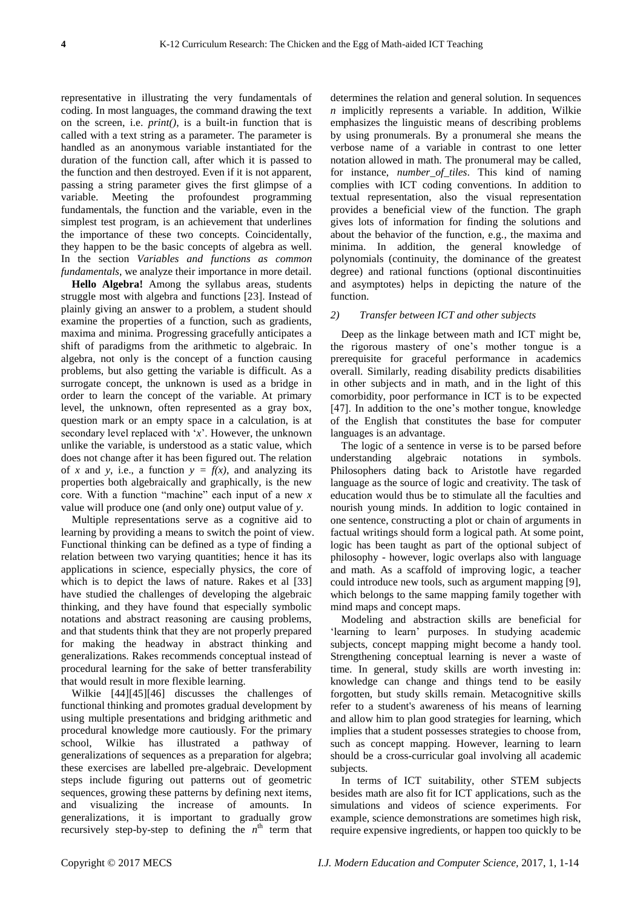representative in illustrating the very fundamentals of coding. In most languages, the command drawing the text on the screen, i.e. *print()*, is a built-in function that is called with a text string as a parameter. The parameter is handled as an anonymous variable instantiated for the duration of the function call, after which it is passed to the function and then destroyed. Even if it is not apparent, passing a string parameter gives the first glimpse of a variable. Meeting the profoundest programming fundamentals, the function and the variable, even in the simplest test program, is an achievement that underlines the importance of these two concepts. Coincidentally, they happen to be the basic concepts of algebra as well. In the section *Variables and functions as common fundamentals*, we analyze their importance in more detail.

**Hello Algebra!** Among the syllabus areas, students struggle most with algebra and functions [23]. Instead of plainly giving an answer to a problem, a student should examine the properties of a function, such as gradients, maxima and minima. Progressing gracefully anticipates a shift of paradigms from the arithmetic to algebraic. In algebra, not only is the concept of a function causing problems, but also getting the variable is difficult. As a surrogate concept, the unknown is used as a bridge in order to learn the concept of the variable. At primary level, the unknown, often represented as a gray box, question mark or an empty space in a calculation, is at secondary level replaced with '*x*'. However, the unknown unlike the variable, is understood as a static value, which does not change after it has been figured out. The relation of *x* and *y*, i.e., a function  $y = f(x)$ , and analyzing its properties both algebraically and graphically, is the new core. With a function "machine" each input of a new *x* value will produce one (and only one) output value of *y*.

Multiple representations serve as a cognitive aid to learning by providing a means to switch the point of view. Functional thinking can be defined as a type of finding a relation between two varying quantities; hence it has its applications in science, especially physics, the core of which is to depict the laws of nature. Rakes et al [33] have studied the challenges of developing the algebraic thinking, and they have found that especially symbolic notations and abstract reasoning are causing problems, and that students think that they are not properly prepared for making the headway in abstract thinking and generalizations. Rakes recommends conceptual instead of procedural learning for the sake of better transferability that would result in more flexible learning.

Wilkie [44][45][46] discusses the challenges of functional thinking and promotes gradual development by using multiple presentations and bridging arithmetic and procedural knowledge more cautiously. For the primary school, Wilkie has illustrated a pathway of generalizations of sequences as a preparation for algebra; these exercises are labelled pre-algebraic. Development steps include figuring out patterns out of geometric sequences, growing these patterns by defining next items, and visualizing the increase of amounts. In generalizations, it is important to gradually grow recursively step-by-step to defining the  $n^{\text{th}}$  term that determines the relation and general solution. In sequences *n* implicitly represents a variable. In addition, Wilkie emphasizes the linguistic means of describing problems by using pronumerals. By a pronumeral she means the verbose name of a variable in contrast to one letter notation allowed in math. The pronumeral may be called, for instance, *number\_of\_tiles*. This kind of naming complies with ICT coding conventions. In addition to textual representation, also the visual representation provides a beneficial view of the function. The graph gives lots of information for finding the solutions and about the behavior of the function, e.g., the maxima and minima. In addition, the general knowledge of polynomials (continuity, the dominance of the greatest degree) and rational functions (optional discontinuities and asymptotes) helps in depicting the nature of the function.

#### *2) Transfer between ICT and other subjects*

Deep as the linkage between math and ICT might be, the rigorous mastery of one's mother tongue is a prerequisite for graceful performance in academics overall. Similarly, reading disability predicts disabilities in other subjects and in math, and in the light of this comorbidity, poor performance in ICT is to be expected [47]. In addition to the one's mother tongue, knowledge of the English that constitutes the base for computer languages is an advantage.

The logic of a sentence in verse is to be parsed before understanding algebraic notations in symbols. Philosophers dating back to Aristotle have regarded language as the source of logic and creativity. The task of education would thus be to stimulate all the faculties and nourish young minds. In addition to logic contained in one sentence, constructing a plot or chain of arguments in factual writings should form a logical path. At some point, logic has been taught as part of the optional subject of philosophy - however, logic overlaps also with language and math. As a scaffold of improving logic, a teacher could introduce new tools, such as argument mapping [9], which belongs to the same mapping family together with mind maps and concept maps.

Modeling and abstraction skills are beneficial for 'learning to learn' purposes. In studying academic subjects, concept mapping might become a handy tool. Strengthening conceptual learning is never a waste of time. In general, study skills are worth investing in: knowledge can change and things tend to be easily forgotten, but study skills remain. Metacognitive skills refer to a student's awareness of his means of learning and allow him to plan good strategies for learning, which implies that a student possesses strategies to choose from, such as concept mapping. However, learning to learn should be a cross-curricular goal involving all academic subjects.

In terms of ICT suitability, other STEM subjects besides math are also fit for ICT applications, such as the simulations and videos of science experiments. For example, science demonstrations are sometimes high risk, require expensive ingredients, or happen too quickly to be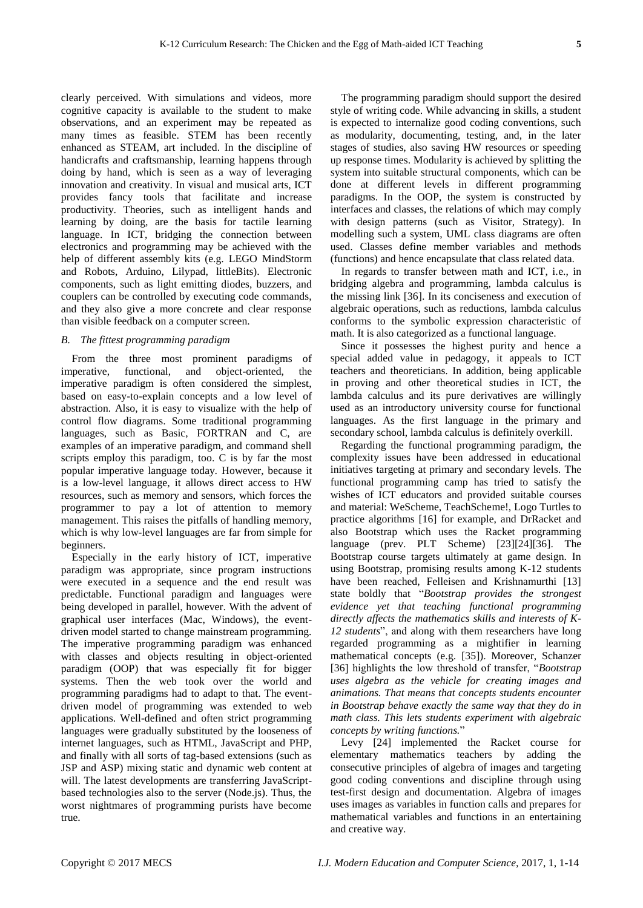clearly perceived. With simulations and videos, more cognitive capacity is available to the student to make observations, and an experiment may be repeated as many times as feasible. STEM has been recently enhanced as STEAM, art included. In the discipline of handicrafts and craftsmanship, learning happens through doing by hand, which is seen as a way of leveraging innovation and creativity. In visual and musical arts, ICT provides fancy tools that facilitate and increase productivity. Theories, such as intelligent hands and learning by doing, are the basis for tactile learning language. In ICT, bridging the connection between electronics and programming may be achieved with the help of different assembly kits (e.g. LEGO MindStorm and Robots, Arduino, Lilypad, littleBits). Electronic components, such as light emitting diodes, buzzers, and couplers can be controlled by executing code commands, and they also give a more concrete and clear response than visible feedback on a computer screen.

#### *B. The fittest programming paradigm*

From the three most prominent paradigms of imperative, functional, and object-oriented, the imperative paradigm is often considered the simplest, based on easy-to-explain concepts and a low level of abstraction. Also, it is easy to visualize with the help of control flow diagrams. Some traditional programming languages, such as Basic, FORTRAN and C, are examples of an imperative paradigm, and command shell scripts employ this paradigm, too. C is by far the most popular imperative language today. However, because it is a low-level language, it allows direct access to HW resources, such as memory and sensors, which forces the programmer to pay a lot of attention to memory management. This raises the pitfalls of handling memory, which is why low-level languages are far from simple for beginners.

Especially in the early history of ICT, imperative paradigm was appropriate, since program instructions were executed in a sequence and the end result was predictable. Functional paradigm and languages were being developed in parallel, however. With the advent of graphical user interfaces (Mac, Windows), the eventdriven model started to change mainstream programming. The imperative programming paradigm was enhanced with classes and objects resulting in object-oriented paradigm (OOP) that was especially fit for bigger systems. Then the web took over the world and programming paradigms had to adapt to that. The eventdriven model of programming was extended to web applications. Well-defined and often strict programming languages were gradually substituted by the looseness of internet languages, such as HTML, JavaScript and PHP, and finally with all sorts of tag-based extensions (such as JSP and ASP) mixing static and dynamic web content at will. The latest developments are transferring JavaScriptbased technologies also to the server (Node.js). Thus, the worst nightmares of programming purists have become true.

The programming paradigm should support the desired style of writing code. While advancing in skills, a student is expected to internalize good coding conventions, such as modularity, documenting, testing, and, in the later stages of studies, also saving HW resources or speeding up response times. Modularity is achieved by splitting the system into suitable structural components, which can be done at different levels in different programming paradigms. In the OOP, the system is constructed by interfaces and classes, the relations of which may comply with design patterns (such as Visitor, Strategy). In modelling such a system, UML class diagrams are often used. Classes define member variables and methods (functions) and hence encapsulate that class related data.

In regards to transfer between math and ICT, i.e., in bridging algebra and programming, lambda calculus is the missing link [36]. In its conciseness and execution of algebraic operations, such as reductions, lambda calculus conforms to the symbolic expression characteristic of math. It is also categorized as a functional language.

Since it possesses the highest purity and hence a special added value in pedagogy, it appeals to ICT teachers and theoreticians. In addition, being applicable in proving and other theoretical studies in ICT, the lambda calculus and its pure derivatives are willingly used as an introductory university course for functional languages. As the first language in the primary and secondary school, lambda calculus is definitely overkill.

Regarding the functional programming paradigm, the complexity issues have been addressed in educational initiatives targeting at primary and secondary levels. The functional programming camp has tried to satisfy the wishes of ICT educators and provided suitable courses and material: WeScheme, TeachScheme!, Logo Turtles to practice algorithms [16] for example, and DrRacket and also Bootstrap which uses the Racket programming language (prev. PLT Scheme) [23][24][36]. The Bootstrap course targets ultimately at game design. In using Bootstrap, promising results among K-12 students have been reached, Felleisen and Krishnamurthi [13] state boldly that "*Bootstrap provides the strongest evidence yet that teaching functional programming directly affects the mathematics skills and interests of K-12 students*", and along with them researchers have long regarded programming as a mightifier in learning mathematical concepts (e.g. [35]). Moreover, Schanzer [36] highlights the low threshold of transfer, "*Bootstrap uses algebra as the vehicle for creating images and animations. That means that concepts students encounter in Bootstrap behave exactly the same way that they do in math class. This lets students experiment with algebraic concepts by writing functions.*"

Levy [24] implemented the Racket course for elementary mathematics teachers by adding the consecutive principles of algebra of images and targeting good coding conventions and discipline through using test-first design and documentation. Algebra of images uses images as variables in function calls and prepares for mathematical variables and functions in an entertaining and creative way.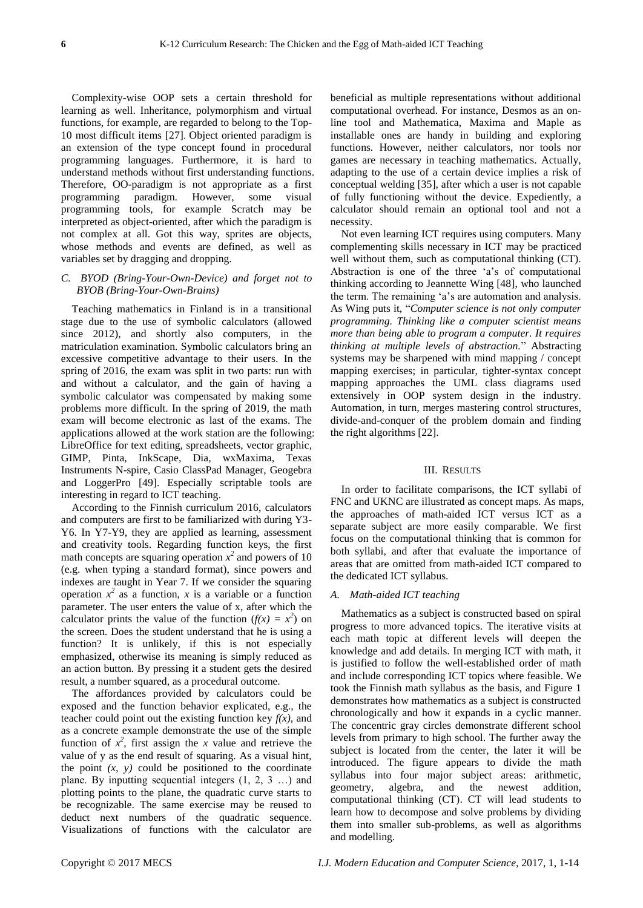Complexity-wise OOP sets a certain threshold for learning as well. Inheritance, polymorphism and virtual functions, for example, are regarded to belong to the Top-10 most difficult items [27]. Object oriented paradigm is an extension of the type concept found in procedural programming languages. Furthermore, it is hard to understand methods without first understanding functions. Therefore, OO-paradigm is not appropriate as a first programming paradigm. However, some visual programming tools, for example Scratch may be interpreted as object-oriented, after which the paradigm is not complex at all. Got this way, sprites are objects, whose methods and events are defined, as well as variables set by dragging and dropping.

## *C. BYOD (Bring-Your-Own-Device) and forget not to BYOB (Bring-Your-Own-Brains)*

Teaching mathematics in Finland is in a transitional stage due to the use of symbolic calculators (allowed since 2012), and shortly also computers, in the matriculation examination. Symbolic calculators bring an excessive competitive advantage to their users. In the spring of 2016, the exam was split in two parts: run with and without a calculator, and the gain of having a symbolic calculator was compensated by making some problems more difficult. In the spring of 2019, the math exam will become electronic as last of the exams. The applications allowed at the work station are the following: LibreOffice for text editing, spreadsheets, vector graphic, GIMP, Pinta, InkScape, Dia, wxMaxima, Texas Instruments N-spire, Casio ClassPad Manager, Geogebra and LoggerPro [49]. Especially scriptable tools are interesting in regard to ICT teaching.

According to the Finnish curriculum 2016, calculators and computers are first to be familiarized with during Y3- Y6. In Y7-Y9, they are applied as learning, assessment and creativity tools. Regarding function keys, the first math concepts are squaring operation  $x^2$  and powers of 10 (e.g. when typing a standard format), since powers and indexes are taught in Year 7. If we consider the squaring operation  $x^2$  as a function, *x* is a variable or a function parameter. The user enters the value of x, after which the calculator prints the value of the function  $(f(x) = x^2)$  on the screen. Does the student understand that he is using a function? It is unlikely, if this is not especially emphasized, otherwise its meaning is simply reduced as an action button. By pressing it a student gets the desired result, a number squared, as a procedural outcome.

The affordances provided by calculators could be exposed and the function behavior explicated, e.g., the teacher could point out the existing function key  $f(x)$ , and as a concrete example demonstrate the use of the simple function of  $x^2$ , first assign the *x* value and retrieve the value of y as the end result of squaring. As a visual hint, the point  $(x, y)$  could be positioned to the coordinate plane. By inputting sequential integers (1, 2, 3 …) and plotting points to the plane, the quadratic curve starts to be recognizable. The same exercise may be reused to deduct next numbers of the quadratic sequence. Visualizations of functions with the calculator are

beneficial as multiple representations without additional computational overhead. For instance, Desmos as an online tool and Mathematica, Maxima and Maple as installable ones are handy in building and exploring functions. However, neither calculators, nor tools nor games are necessary in teaching mathematics. Actually, adapting to the use of a certain device implies a risk of conceptual welding [35], after which a user is not capable of fully functioning without the device. Expediently, a calculator should remain an optional tool and not a necessity.

Not even learning ICT requires using computers. Many complementing skills necessary in ICT may be practiced well without them, such as computational thinking (CT). Abstraction is one of the three 'a's of computational thinking according to Jeannette Wing [48], who launched the term. The remaining 'a's are automation and analysis. As Wing puts it, "*Computer science is not only computer programming. Thinking like a computer scientist means more than being able to program a computer. It requires thinking at multiple levels of abstraction.*" Abstracting systems may be sharpened with mind mapping / concept mapping exercises; in particular, tighter-syntax concept mapping approaches the UML class diagrams used extensively in OOP system design in the industry. Automation, in turn, merges mastering control structures, divide-and-conquer of the problem domain and finding the right algorithms [22].

#### III. RESULTS

In order to facilitate comparisons, the ICT syllabi of FNC and UKNC are illustrated as concept maps. As maps, the approaches of math-aided ICT versus ICT as a separate subject are more easily comparable. We first focus on the computational thinking that is common for both syllabi, and after that evaluate the importance of areas that are omitted from math-aided ICT compared to the dedicated ICT syllabus.

#### *A. Math-aided ICT teaching*

Mathematics as a subject is constructed based on spiral progress to more advanced topics. The iterative visits at each math topic at different levels will deepen the knowledge and add details. In merging ICT with math, it is justified to follow the well-established order of math and include corresponding ICT topics where feasible. We took the Finnish math syllabus as the basis, and Figure 1 demonstrates how mathematics as a subject is constructed chronologically and how it expands in a cyclic manner. The concentric gray circles demonstrate different school levels from primary to high school. The further away the subject is located from the center, the later it will be introduced. The figure appears to divide the math syllabus into four major subject areas: arithmetic, geometry, algebra, and the newest addition, computational thinking (CT). CT will lead students to learn how to decompose and solve problems by dividing them into smaller sub-problems, as well as algorithms and modelling.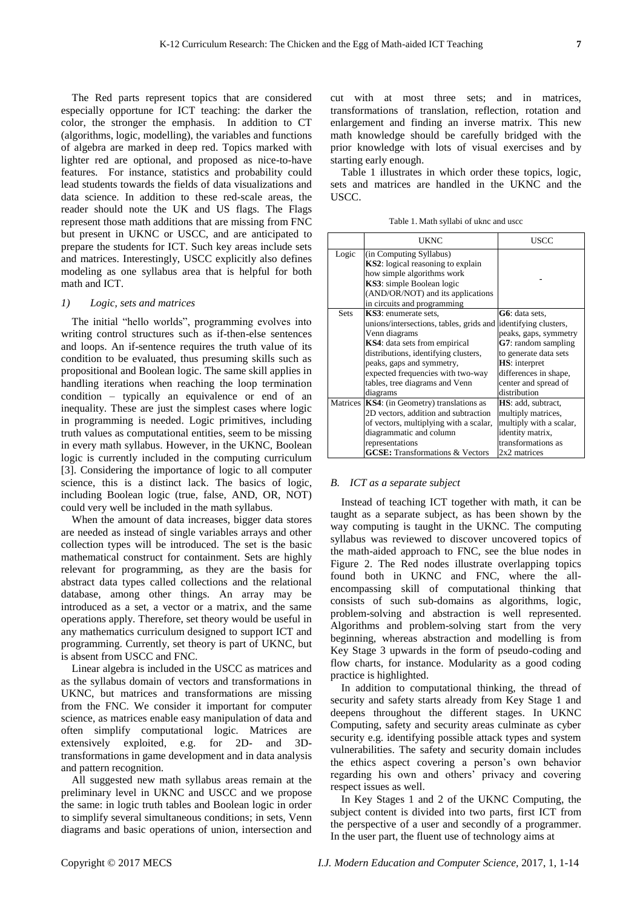The Red parts represent topics that are considered especially opportune for ICT teaching: the darker the color, the stronger the emphasis. In addition to CT (algorithms, logic, modelling), the variables and functions of algebra are marked in deep red. Topics marked with lighter red are optional, and proposed as nice-to-have features. For instance, statistics and probability could lead students towards the fields of data visualizations and data science. In addition to these red-scale areas, the reader should note the UK and US flags. The Flags represent those math additions that are missing from FNC but present in UKNC or USCC, and are anticipated to prepare the students for ICT. Such key areas include sets and matrices. Interestingly, USCC explicitly also defines modeling as one syllabus area that is helpful for both math and ICT.

#### *1) Logic, sets and matrices*

The initial "hello worlds", programming evolves into writing control structures such as if-then-else sentences and loops. An if-sentence requires the truth value of its condition to be evaluated, thus presuming skills such as propositional and Boolean logic. The same skill applies in handling iterations when reaching the loop termination condition – typically an equivalence or end of an inequality. These are just the simplest cases where logic in programming is needed. Logic primitives, including truth values as computational entities, seem to be missing in every math syllabus. However, in the UKNC, Boolean logic is currently included in the computing curriculum [3]. Considering the importance of logic to all computer science, this is a distinct lack. The basics of logic, including Boolean logic (true, false, AND, OR, NOT) could very well be included in the math syllabus.

When the amount of data increases, bigger data stores are needed as instead of single variables arrays and other collection types will be introduced. The set is the basic mathematical construct for containment. Sets are highly relevant for programming, as they are the basis for abstract data types called collections and the relational database, among other things. An array may be introduced as a set, a vector or a matrix, and the same operations apply. Therefore, set theory would be useful in any mathematics curriculum designed to support ICT and programming. Currently, set theory is part of UKNC, but is absent from USCC and FNC.

Linear algebra is included in the USCC as matrices and as the syllabus domain of vectors and transformations in UKNC, but matrices and transformations are missing from the FNC. We consider it important for computer science, as matrices enable easy manipulation of data and often simplify computational logic. Matrices are extensively exploited, e.g. for 2D- and 3Dtransformations in game development and in data analysis and pattern recognition.

All suggested new math syllabus areas remain at the preliminary level in UKNC and USCC and we propose the same: in logic truth tables and Boolean logic in order to simplify several simultaneous conditions; in sets, Venn diagrams and basic operations of union, intersection and

cut with at most three sets; and in matrices, transformations of translation, reflection, rotation and enlargement and finding an inverse matrix. This new math knowledge should be carefully bridged with the prior knowledge with lots of visual exercises and by starting early enough.

Table 1 illustrates in which order these topics, logic, sets and matrices are handled in the UKNC and the USCC.

Table 1. Math syllabi of uknc and uscc

|             | <b>UKNC</b>                                                                                                                                                                                         | USCC                       |
|-------------|-----------------------------------------------------------------------------------------------------------------------------------------------------------------------------------------------------|----------------------------|
| Logic       | (in Computing Syllabus)<br><b>KS2</b> : logical reasoning to explain<br>how simple algorithms work<br>KS3: simple Boolean logic<br>(AND/OR/NOT) and its applications<br>in circuits and programming |                            |
| <b>Sets</b> | KS3: enumerate sets,                                                                                                                                                                                | G6: data sets,             |
|             | unions/intersections, tables, grids and                                                                                                                                                             | identifying clusters,      |
|             | Venn diagrams                                                                                                                                                                                       | peaks, gaps, symmetry      |
|             | <b>KS4</b> : data sets from empirical                                                                                                                                                               | G7: random sampling        |
|             | distributions, identifying clusters,                                                                                                                                                                | to generate data sets      |
|             | peaks, gaps and symmetry,                                                                                                                                                                           | <b>HS</b> : interpret      |
|             | expected frequencies with two-way                                                                                                                                                                   | differences in shape,      |
|             | tables, tree diagrams and Venn                                                                                                                                                                      | center and spread of       |
|             | diagrams                                                                                                                                                                                            | distribution               |
|             | Matrices   KS4: (in Geometry) translations as                                                                                                                                                       | <b>HS</b> : add, subtract, |
|             | 2D vectors, addition and subtraction                                                                                                                                                                | multiply matrices,         |
|             | of vectors, multiplying with a scalar,                                                                                                                                                              | multiply with a scalar,    |
|             | diagrammatic and column                                                                                                                                                                             | identity matrix,           |
|             | representations                                                                                                                                                                                     | transformations as         |
|             | <b>GCSE:</b> Transformations & Vectors                                                                                                                                                              | 2x2 matrices               |

#### *B. ICT as a separate subject*

Instead of teaching ICT together with math, it can be taught as a separate subject, as has been shown by the way computing is taught in the UKNC. The computing syllabus was reviewed to discover uncovered topics of the math-aided approach to FNC, see the blue nodes in Figure 2. The Red nodes illustrate overlapping topics found both in UKNC and FNC, where the allencompassing skill of computational thinking that consists of such sub-domains as algorithms, logic, problem-solving and abstraction is well represented. Algorithms and problem-solving start from the very beginning, whereas abstraction and modelling is from Key Stage 3 upwards in the form of pseudo-coding and flow charts, for instance. Modularity as a good coding practice is highlighted.

In addition to computational thinking, the thread of security and safety starts already from Key Stage 1 and deepens throughout the different stages. In UKNC Computing, safety and security areas culminate as cyber security e.g. identifying possible attack types and system vulnerabilities. The safety and security domain includes the ethics aspect covering a person's own behavior regarding his own and others' privacy and covering respect issues as well.

In Key Stages 1 and 2 of the UKNC Computing, the subject content is divided into two parts, first ICT from the perspective of a user and secondly of a programmer. In the user part, the fluent use of technology aims at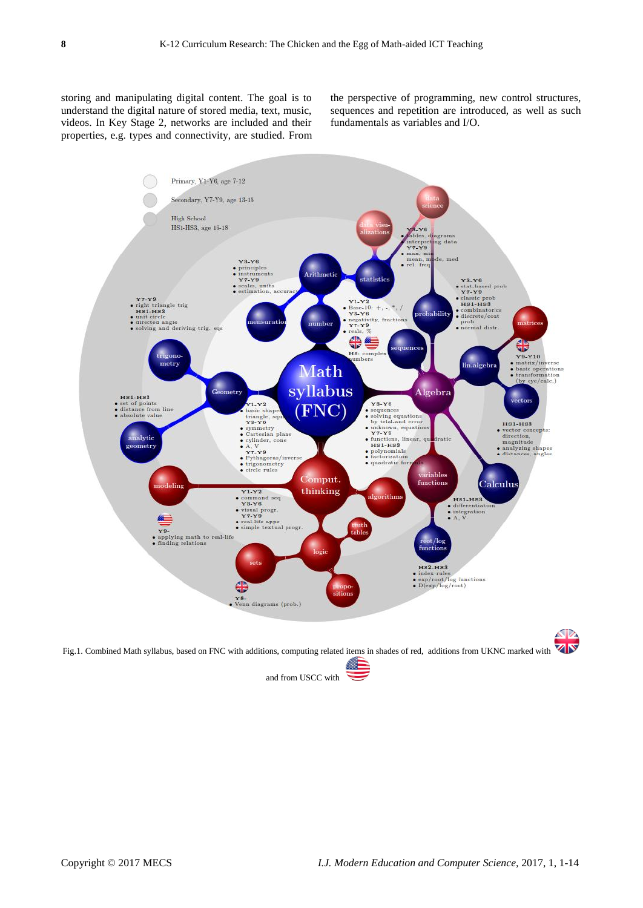storing and manipulating digital content. The goal is to understand the digital nature of stored media, text, music, videos. In Key Stage 2, networks are included and their properties, e.g. types and connectivity, are studied. From the perspective of programming, new control structures, sequences and repetition are introduced, as well as such fundamentals as variables and I/O.

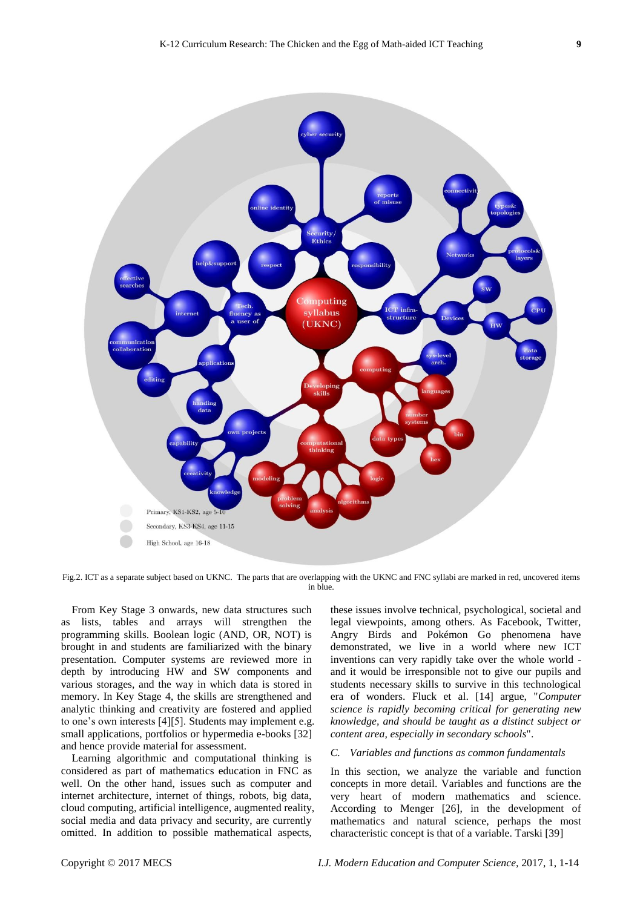

Fig.2. ICT as a separate subject based on UKNC. The parts that are overlapping with the UKNC and FNC syllabi are marked in red, uncovered items in blue.

From Key Stage 3 onwards, new data structures such as lists, tables and arrays will strengthen the programming skills. Boolean logic (AND, OR, NOT) is brought in and students are familiarized with the binary presentation. Computer systems are reviewed more in depth by introducing HW and SW components and various storages, and the way in which data is stored in memory. In Key Stage 4, the skills are strengthened and analytic thinking and creativity are fostered and applied to one's own interests [4][5]. Students may implement e.g. small applications, portfolios or hypermedia e-books [32] and hence provide material for assessment.

Learning algorithmic and computational thinking is considered as part of mathematics education in FNC as well. On the other hand, issues such as computer and internet architecture, internet of things, robots, big data, cloud computing, artificial intelligence, augmented reality, social media and data privacy and security, are currently omitted. In addition to possible mathematical aspects,

these issues involve technical, psychological, societal and legal viewpoints, among others. As Facebook, Twitter, Angry Birds and Pokémon Go phenomena have demonstrated, we live in a world where new ICT inventions can very rapidly take over the whole world and it would be irresponsible not to give our pupils and students necessary skills to survive in this technological era of wonders. Fluck et al. [14] argue, "*Computer science is rapidly becoming critical for generating new knowledge, and should be taught as a distinct subject or content area, especially in secondary schools*".

#### *C. Variables and functions as common fundamentals*

In this section, we analyze the variable and function concepts in more detail. Variables and functions are the very heart of modern mathematics and science. According to Menger [26], in the development of mathematics and natural science, perhaps the most characteristic concept is that of a variable. Tarski [39]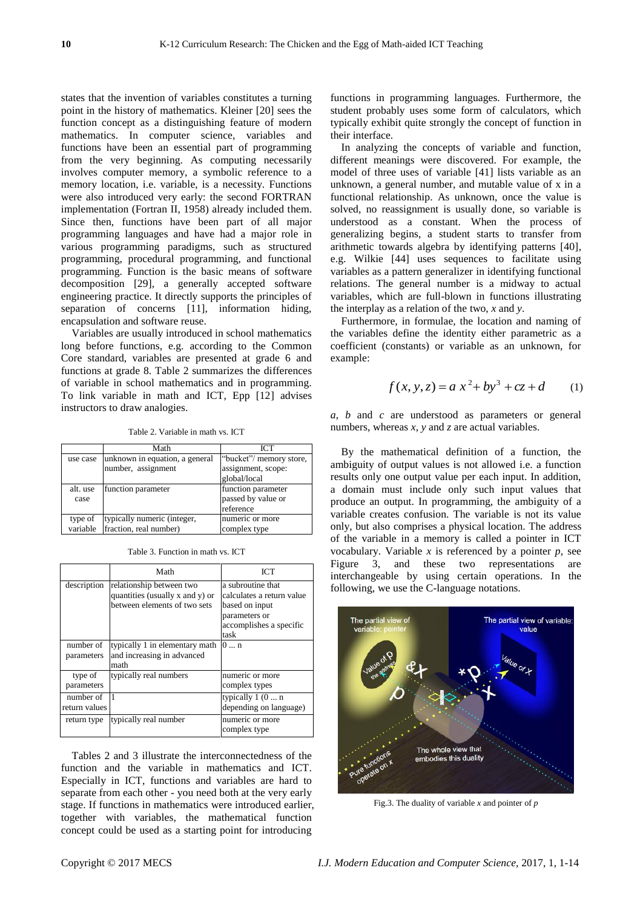states that the invention of variables constitutes a turning point in the history of mathematics. Kleiner [20] sees the function concept as a distinguishing feature of modern mathematics. In computer science, variables and functions have been an essential part of programming from the very beginning. As computing necessarily involves computer memory, a symbolic reference to a memory location, i.e. variable, is a necessity. Functions were also introduced very early: the second FORTRAN implementation (Fortran II, 1958) already included them. Since then, functions have been part of all major programming languages and have had a major role in various programming paradigms, such as structured programming, procedural programming, and functional programming. Function is the basic means of software decomposition [29], a generally accepted software engineering practice. It directly supports the principles of separation of concerns [11], information hiding, encapsulation and software reuse.

Variables are usually introduced in school mathematics long before functions, e.g. according to the Common Core standard, variables are presented at grade 6 and functions at grade 8. Table 2 summarizes the differences of variable in school mathematics and in programming. To link variable in math and ICT, Epp [12] advises instructors to draw analogies.

Table 2. Variable in math vs. ICT

|          | Math                            | ICT                     |
|----------|---------------------------------|-------------------------|
| use case | unknown in equation, a general  | "bucket"/ memory store, |
|          | number, assignment              | assignment, scope:      |
|          |                                 | global/local            |
| alt. use | function parameter              | function parameter      |
| case     |                                 | passed by value or      |
|          |                                 | reference               |
| type of  | typically numeric (integer,     | numeric or more         |
|          | variable fraction, real number) | complex type            |

Table 3. Function in math vs. ICT

|                            | Math                                                                                        | <b>ICT</b>                                                                                                           |
|----------------------------|---------------------------------------------------------------------------------------------|----------------------------------------------------------------------------------------------------------------------|
| description                | relationship between two<br>quantities (usually x and y) or<br>between elements of two sets | a subroutine that<br>calculates a return value<br>based on input<br>parameters or<br>accomplishes a specific<br>task |
| number of<br>parameters    | typically 1 in elementary math<br>and increasing in advanced<br>math                        | 10n                                                                                                                  |
| type of<br>parameters      | typically real numbers                                                                      | numeric or more<br>complex types                                                                                     |
| number of<br>return values | $\vert$ 1                                                                                   | typically $1(0 \dots n)$<br>depending on language)                                                                   |
| return type                | typically real number                                                                       | numeric or more<br>complex type                                                                                      |

Tables 2 and 3 illustrate the interconnectedness of the function and the variable in mathematics and ICT. Especially in ICT, functions and variables are hard to separate from each other - you need both at the very early stage. If functions in mathematics were introduced earlier, together with variables, the mathematical function concept could be used as a starting point for introducing

functions in programming languages. Furthermore, the student probably uses some form of calculators, which typically exhibit quite strongly the concept of function in their interface.

In analyzing the concepts of variable and function, different meanings were discovered. For example, the model of three uses of variable [41] lists variable as an unknown, a general number, and mutable value of x in a functional relationship. As unknown, once the value is solved, no reassignment is usually done, so variable is understood as a constant. When the process of generalizing begins, a student starts to transfer from arithmetic towards algebra by identifying patterns [40], e.g. Wilkie [44] uses sequences to facilitate using variables as a pattern generalizer in identifying functional relations. The general number is a midway to actual variables, which are full-blown in functions illustrating the interplay as a relation of the two, *x* and *y*.

Furthermore, in formulae, the location and naming of the variables define the identity either parametric as a coefficient (constants) or variable as an unknown, for example:

$$
f(x, y, z) = a x2 + by3 + cz + d
$$
 (1)

*a*, *b* and *c* are understood as parameters or general numbers, whereas *x*, *y* and *z* are actual variables.

By the mathematical definition of a function, the ambiguity of output values is not allowed i.e. a function results only one output value per each input. In addition, a domain must include only such input values that produce an output. In programming, the ambiguity of a variable creates confusion. The variable is not its value only, but also comprises a physical location. The address of the variable in a memory is called a pointer in ICT vocabulary. Variable *x* is referenced by a pointer *p*, see Figure 3, and these two representations are interchangeable by using certain operations. In the following, we use the C-language notations.



Fig.3. The duality of variable *x* and pointer of *p*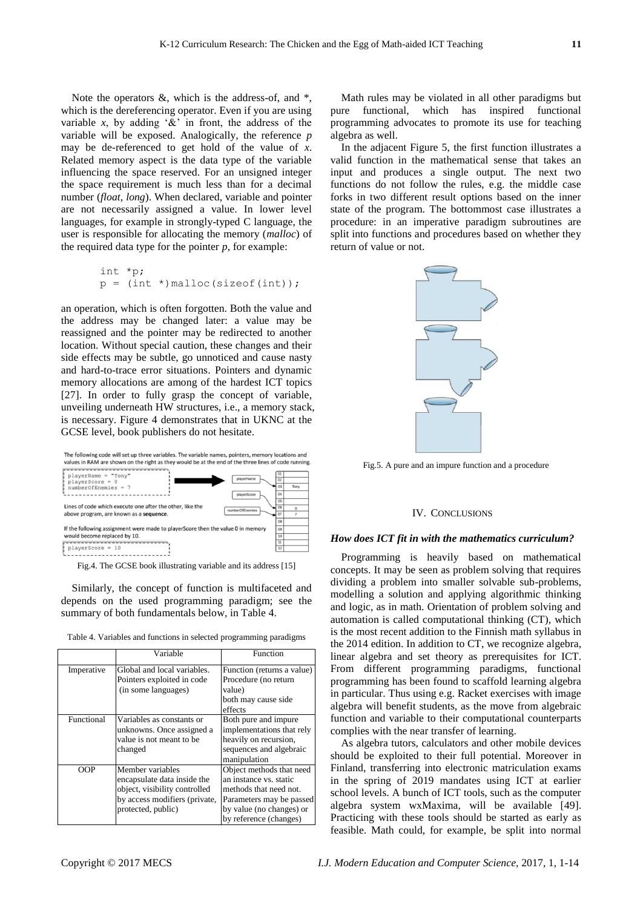Note the operators  $\&$ , which is the address-of, and  $*$ , which is the dereferencing operator. Even if you are using variable  $x$ , by adding  $\&$  in front, the address of the variable will be exposed. Analogically, the reference *p* may be de-referenced to get hold of the value of *x*. Related memory aspect is the data type of the variable influencing the space reserved. For an unsigned integer the space requirement is much less than for a decimal number (*float*, *long*). When declared, variable and pointer are not necessarily assigned a value. In lower level languages, for example in strongly-typed C language, the user is responsible for allocating the memory (*malloc*) of the required data type for the pointer *p*, for example:

int \*p; p = (int \*)malloc(sizeof(int));

an operation, which is often forgotten. Both the value and the address may be changed later: a value may be reassigned and the pointer may be redirected to another location. Without special caution, these changes and their side effects may be subtle, go unnoticed and cause nasty and hard-to-trace error situations. Pointers and dynamic memory allocations are among of the hardest ICT topics [27]. In order to fully grasp the concept of variable, unveiling underneath HW structures, i.e., a memory stack, is necessary. Figure 4 demonstrates that in UKNC at the GCSE level, book publishers do not hesitate.



Fig.4. The GCSE book illustrating variable and its address [15]

Similarly, the concept of function is multifaceted and depends on the used programming paradigm; see the summary of both fundamentals below, in Table 4.

| Table 4. Variables and functions in selected programming paradigms |  |  |
|--------------------------------------------------------------------|--|--|
|--------------------------------------------------------------------|--|--|

|            | Variable                                                                                                                                | Function                                                                                                                                                       |
|------------|-----------------------------------------------------------------------------------------------------------------------------------------|----------------------------------------------------------------------------------------------------------------------------------------------------------------|
| Imperative | Global and local variables.<br>Pointers exploited in code<br>(in some languages)                                                        | Function (returns a value)<br>Procedure (no return<br>value)<br>both may cause side<br>effects                                                                 |
| Functional | Variables as constants or<br>unknowns. Once assigned a<br>value is not meant to be<br>changed                                           | Both pure and impure<br>implementations that rely<br>heavily on recursion,<br>sequences and algebraic<br>manipulation                                          |
| OOP        | Member variables<br>encapsulate data inside the<br>object, visibility controlled<br>by access modifiers (private,<br>protected, public) | Object methods that need<br>an instance vs. static<br>methods that need not.<br>Parameters may be passed<br>by value (no changes) or<br>by reference (changes) |

Math rules may be violated in all other paradigms but pure functional, which has inspired functional programming advocates to promote its use for teaching algebra as well.

In the adjacent Figure 5, the first function illustrates a valid function in the mathematical sense that takes an input and produces a single output. The next two functions do not follow the rules, e.g. the middle case forks in two different result options based on the inner state of the program. The bottommost case illustrates a procedure: in an imperative paradigm subroutines are split into functions and procedures based on whether they return of value or not.



Fig.5. A pure and an impure function and a procedure

#### IV. CONCLUSIONS

#### *How does ICT fit in with the mathematics curriculum?*

Programming is heavily based on mathematical concepts. It may be seen as problem solving that requires dividing a problem into smaller solvable sub-problems, modelling a solution and applying algorithmic thinking and logic, as in math. Orientation of problem solving and automation is called computational thinking (CT), which is the most recent addition to the Finnish math syllabus in the 2014 edition. In addition to CT, we recognize algebra, linear algebra and set theory as prerequisites for ICT. From different programming paradigms, functional programming has been found to scaffold learning algebra in particular. Thus using e.g. Racket exercises with image algebra will benefit students, as the move from algebraic function and variable to their computational counterparts complies with the near transfer of learning.

As algebra tutors, calculators and other mobile devices should be exploited to their full potential. Moreover in Finland, transferring into electronic matriculation exams in the spring of 2019 mandates using ICT at earlier school levels. A bunch of ICT tools, such as the computer algebra system wxMaxima, will be available [49]. Practicing with these tools should be started as early as feasible. Math could, for example, be split into normal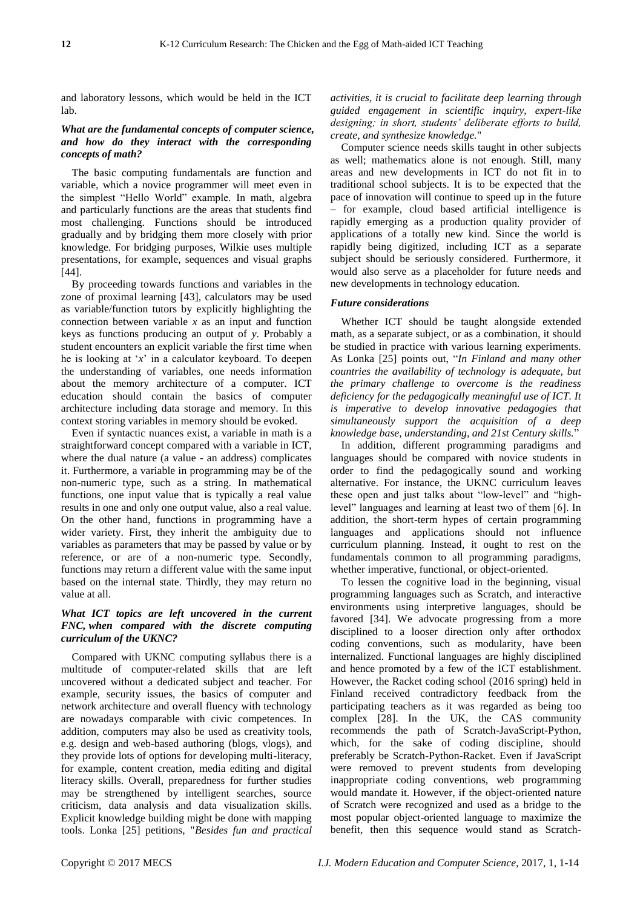and laboratory lessons, which would be held in the ICT lab.

# *What are the fundamental concepts of computer science, and how do they interact with the corresponding concepts of math?*

The basic computing fundamentals are function and variable, which a novice programmer will meet even in the simplest "Hello World" example. In math, algebra and particularly functions are the areas that students find most challenging. Functions should be introduced gradually and by bridging them more closely with prior knowledge. For bridging purposes, Wilkie uses multiple presentations, for example, sequences and visual graphs [44].

By proceeding towards functions and variables in the zone of proximal learning [43], calculators may be used as variable/function tutors by explicitly highlighting the connection between variable *x* as an input and function keys as functions producing an output of *y*. Probably a student encounters an explicit variable the first time when he is looking at '*x*' in a calculator keyboard. To deepen the understanding of variables, one needs information about the memory architecture of a computer. ICT education should contain the basics of computer architecture including data storage and memory. In this context storing variables in memory should be evoked.

Even if syntactic nuances exist, a variable in math is a straightforward concept compared with a variable in ICT, where the dual nature (a value - an address) complicates it. Furthermore, a variable in programming may be of the non-numeric type, such as a string. In mathematical functions, one input value that is typically a real value results in one and only one output value, also a real value. On the other hand, functions in programming have a wider variety. First, they inherit the ambiguity due to variables as parameters that may be passed by value or by reference, or are of a non-numeric type. Secondly, functions may return a different value with the same input based on the internal state. Thirdly, they may return no value at all.

# *What ICT topics are left uncovered in the current FNC, when compared with the discrete computing curriculum of the UKNC?*

Compared with UKNC computing syllabus there is a multitude of computer-related skills that are left uncovered without a dedicated subject and teacher. For example, security issues, the basics of computer and network architecture and overall fluency with technology are nowadays comparable with civic competences. In addition, computers may also be used as creativity tools, e.g. design and web-based authoring (blogs, vlogs), and they provide lots of options for developing multi-literacy, for example, content creation, media editing and digital literacy skills. Overall, preparedness for further studies may be strengthened by intelligent searches, source criticism, data analysis and data visualization skills. Explicit knowledge building might be done with mapping tools. Lonka [25] petitions, "*Besides fun and practical* 

*activities, it is crucial to facilitate deep learning through guided engagement in scientific inquiry, expert-like designing; in short, students' deliberate efforts to build, create, and synthesize knowledge.*"

Computer science needs skills taught in other subjects as well; mathematics alone is not enough. Still, many areas and new developments in ICT do not fit in to traditional school subjects. It is to be expected that the pace of innovation will continue to speed up in the future – for example, cloud based artificial intelligence is rapidly emerging as a production quality provider of applications of a totally new kind. Since the world is rapidly being digitized, including ICT as a separate subject should be seriously considered. Furthermore, it would also serve as a placeholder for future needs and new developments in technology education.

### *Future considerations*

Whether ICT should be taught alongside extended math, as a separate subject, or as a combination, it should be studied in practice with various learning experiments. As Lonka [25] points out, "*In Finland and many other countries the availability of technology is adequate, but the primary challenge to overcome is the readiness deficiency for the pedagogically meaningful use of ICT. It is imperative to develop innovative pedagogies that simultaneously support the acquisition of a deep knowledge base, understanding, and 21st Century skills.*"

In addition, different programming paradigms and languages should be compared with novice students in order to find the pedagogically sound and working alternative. For instance, the UKNC curriculum leaves these open and just talks about "low-level" and "highlevel" languages and learning at least two of them [6]. In addition, the short-term hypes of certain programming languages and applications should not influence curriculum planning. Instead, it ought to rest on the fundamentals common to all programming paradigms, whether imperative, functional, or object-oriented.

To lessen the cognitive load in the beginning, visual programming languages such as Scratch, and interactive environments using interpretive languages, should be favored [34]. We advocate progressing from a more disciplined to a looser direction only after orthodox coding conventions, such as modularity, have been internalized. Functional languages are highly disciplined and hence promoted by a few of the ICT establishment. However, the Racket coding school (2016 spring) held in Finland received contradictory feedback from the participating teachers as it was regarded as being too complex [28]. In the UK, the CAS community recommends the path of Scratch-JavaScript-Python, which, for the sake of coding discipline, should preferably be Scratch-Python-Racket. Even if JavaScript were removed to prevent students from developing inappropriate coding conventions, web programming would mandate it. However, if the object-oriented nature of Scratch were recognized and used as a bridge to the most popular object-oriented language to maximize the benefit, then this sequence would stand as Scratch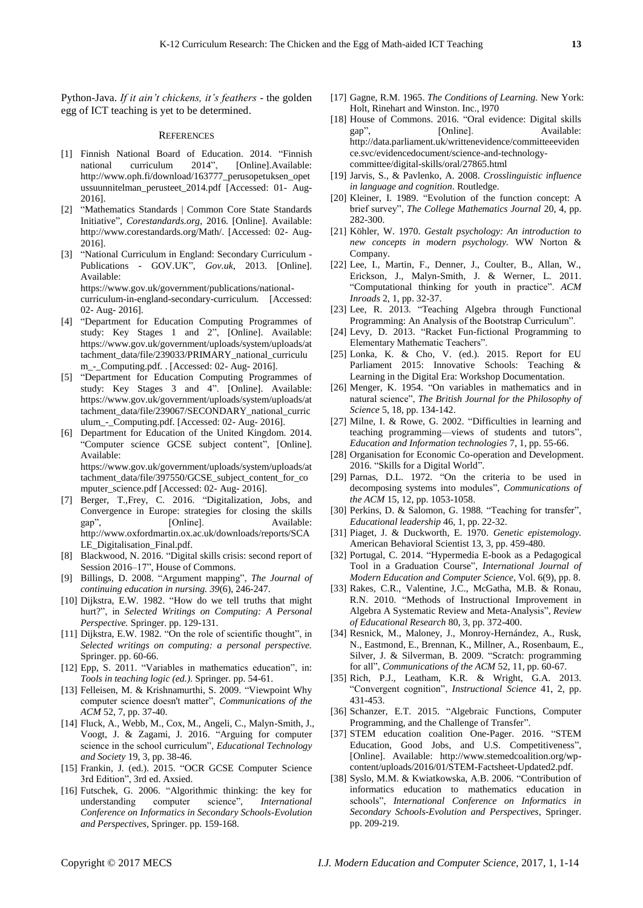Python-Java. *If it ain't chickens, it's feathers* - the golden egg of ICT teaching is yet to be determined.

#### **REFERENCES**

- [1] Finnish National Board of Education. 2014. "Finnish national curriculum 2014", [Online].Available: http://www.oph.fi/download/163777\_perusopetuksen\_opet ussuunnitelman\_perusteet\_2014.pdf [Accessed: 01- Aug-2016].
- [2] "Mathematics Standards | Common Core State Standards Initiative", *Corestandards.org*, 2016. [Online]. Available: http://www.corestandards.org/Math/. [Accessed: 02- Aug-2016].
- [3] "National Curriculum in England: Secondary Curriculum Publications - GOV.UK", *Gov.uk*, 2013. [Online]. Available: https://www.gov.uk/government/publications/nationalcurriculum-in-england-secondary-curriculum. [Accessed: 02- Aug- 2016].
- [4] "Department for Education Computing Programmes of study: Key Stages 1 and 2", [Online]. Available: https://www.gov.uk/government/uploads/system/uploads/at tachment\_data/file/239033/PRIMARY\_national\_curriculu m\_-\_Computing.pdf. . [Accessed: 02- Aug- 2016].
- [5] "Department for Education Computing Programmes of study: Key Stages 3 and 4". [Online]. Available: https://www.gov.uk/government/uploads/system/uploads/at tachment\_data/file/239067/SECONDARY\_national\_curric ulum\_-\_Computing.pdf. [Accessed: 02- Aug- 2016].
- [6] Department for Education of the United Kingdom. 2014. "Computer science GCSE subject content", [Online]. Available: https://www.gov.uk/government/uploads/system/uploads/at tachment\_data/file/397550/GCSE\_subject\_content\_for\_co mputer\_science.pdf [Accessed: 02- Aug- 2016].
- [7] Berger, T.,Frey, C. 2016. "Digitalization, Jobs, and Convergence in Europe: strategies for closing the skills gap", [Online]. Available: http://www.oxfordmartin.ox.ac.uk/downloads/reports/SCA LE\_Digitalisation\_Final.pdf.
- [8] Blackwood, N. 2016. "Digital skills crisis: second report of Session 2016–17", House of Commons.
- [9] Billings, D. 2008. "Argument mapping", *The Journal of continuing education in nursing. 39*(6), 246-247.
- [10] Dijkstra, E.W. 1982. "How do we tell truths that might hurt?", in *Selected Writings on Computing: A Personal Perspective.* Springer. pp. 129-131.
- [11] Dijkstra, E.W. 1982. "On the role of scientific thought", in *Selected writings on computing: a personal perspective.*  Springer. pp. 60-66.
- [12] Epp, S. 2011. "Variables in mathematics education", in: *Tools in teaching logic (ed.)*. Springer. pp. 54-61.
- [13] Felleisen, M. & Krishnamurthi, S. 2009. "Viewpoint Why computer science doesn't matter", *Communications of the ACM* 52, 7, pp. 37-40.
- [14] Fluck, A., Webb, M., Cox, M., Angeli, C., Malyn-Smith, J., Voogt, J. & Zagami, J. 2016. "Arguing for computer science in the school curriculum", *Educational Technology and Society* 19, 3, pp. 38-46.
- [15] Frankin, J. (ed.). 2015. "OCR GCSE Computer Science 3rd Edition", 3rd ed. Axsied.
- [16] Futschek, G. 2006. "Algorithmic thinking: the key for understanding computer science", *International Conference on Informatics in Secondary Schools-Evolution and Perspectives*, Springer. pp. 159-168.
- [17] Gagne, R.M. 1965. *The Conditions of Learning.* New York: Holt, Rinehart and Winston. Inc., l970
- [18] House of Commons. 2016. "Oral evidence: Digital skills gap", [Online]. Available: http://data.parliament.uk/writtenevidence/committeeeviden ce.svc/evidencedocument/science-and-technologycommittee/digital-skills/oral/27865.html
- [19] Jarvis, S., & Pavlenko, A. 2008. *Crosslinguistic influence in language and cognition*. Routledge.
- [20] Kleiner, I. 1989. "Evolution of the function concept: A brief survey", *The College Mathematics Journal* 20, 4, pp. 282-300.
- [21] Köhler, W. 1970. *Gestalt psychology: An introduction to new concepts in modern psychology.* WW Norton & Company.
- [22] Lee, I., Martin, F., Denner, J., Coulter, B., Allan, W., Erickson, J., Malyn-Smith, J. & Werner, L. 2011. "Computational thinking for youth in practice". *ACM Inroads* 2, 1, pp. 32-37.
- [23] Lee, R. 2013. "Teaching Algebra through Functional Programming: An Analysis of the Bootstrap Curriculum".
- [24] Levy, D. 2013. "Racket Fun-fictional Programming to Elementary Mathematic Teachers".
- [25] Lonka, K. & Cho, V. (ed.). 2015. Report for EU Parliament 2015: Innovative Schools: Teaching & Learning in the Digital Era: Workshop Documentation.
- [26] Menger, K. 1954. "On variables in mathematics and in natural science", *The British Journal for the Philosophy of Science* 5, 18, pp. 134-142.
- [27] Milne, I. & Rowe, G. 2002. "Difficulties in learning and teaching programming—views of students and tutors", *Education and Information technologies* 7, 1, pp. 55-66.
- [28] Organisation for Economic Co-operation and Development. 2016. "Skills for a Digital World".
- [29] Parnas, D.L. 1972. "On the criteria to be used in decomposing systems into modules", *Communications of the ACM* 15, 12, pp. 1053-1058.
- [30] Perkins, D. & Salomon, G. 1988. "Teaching for transfer", *Educational leadership* 46, 1, pp. 22-32.
- [31] Piaget, J. & Duckworth, E. 1970. *Genetic epistemology.* American Behavioral Scientist 13, 3, pp. 459-480.
- [32] Portugal, C. 2014. "Hypermedia E-book as a Pedagogical Tool in a Graduation Course", *International Journal of Modern Education and Computer Science*, Vol. 6(9), pp. 8.
- [33] Rakes, C.R., Valentine, J.C., McGatha, M.B. & Ronau, R.N. 2010. "Methods of Instructional Improvement in Algebra A Systematic Review and Meta-Analysis", *Review of Educational Research* 80, 3, pp. 372-400.
- [34] Resnick, M., Maloney, J., Monroy-Hernández, A., Rusk, N., Eastmond, E., Brennan, K., Millner, A., Rosenbaum, E., Silver, J. & Silverman, B. 2009. "Scratch: programming for all", *Communications of the ACM* 52, 11, pp. 60-67.
- [35] Rich, P.J., Leatham, K.R. & Wright, G.A. 2013. "Convergent cognition", *Instructional Science* 41, 2, pp. 431-453.
- [36] Schanzer, E.T. 2015. "Algebraic Functions, Computer Programming, and the Challenge of Transfer".
- [37] STEM education coalition One-Pager. 2016. "STEM Education, Good Jobs, and U.S. Competitiveness", [Online]. Available: http://www.stemedcoalition.org/wpcontent/uploads/2016/01/STEM-Factsheet-Updated2.pdf.
- [38] Syslo, M.M. & Kwiatkowska, A.B. 2006. "Contribution of informatics education to mathematics education in schools", *International Conference on Informatics in Secondary Schools-Evolution and Perspectives*, Springer. pp. 209-219.